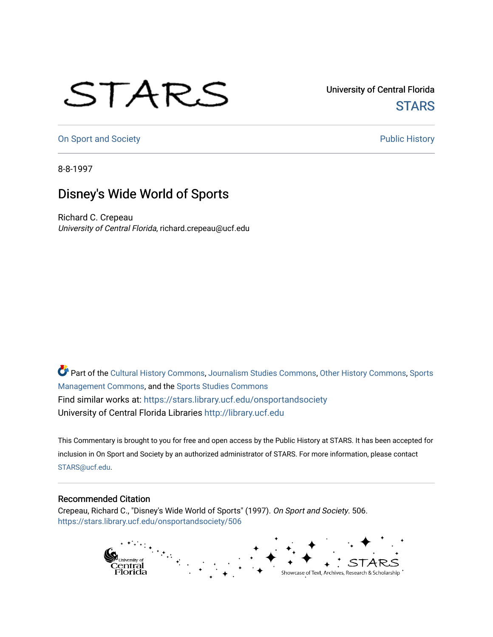## STARS

University of Central Florida **STARS** 

[On Sport and Society](https://stars.library.ucf.edu/onsportandsociety) **Public History** Public History

8-8-1997

## Disney's Wide World of Sports

Richard C. Crepeau University of Central Florida, richard.crepeau@ucf.edu

Part of the [Cultural History Commons](http://network.bepress.com/hgg/discipline/496?utm_source=stars.library.ucf.edu%2Fonsportandsociety%2F506&utm_medium=PDF&utm_campaign=PDFCoverPages), [Journalism Studies Commons,](http://network.bepress.com/hgg/discipline/333?utm_source=stars.library.ucf.edu%2Fonsportandsociety%2F506&utm_medium=PDF&utm_campaign=PDFCoverPages) [Other History Commons,](http://network.bepress.com/hgg/discipline/508?utm_source=stars.library.ucf.edu%2Fonsportandsociety%2F506&utm_medium=PDF&utm_campaign=PDFCoverPages) [Sports](http://network.bepress.com/hgg/discipline/1193?utm_source=stars.library.ucf.edu%2Fonsportandsociety%2F506&utm_medium=PDF&utm_campaign=PDFCoverPages) [Management Commons](http://network.bepress.com/hgg/discipline/1193?utm_source=stars.library.ucf.edu%2Fonsportandsociety%2F506&utm_medium=PDF&utm_campaign=PDFCoverPages), and the [Sports Studies Commons](http://network.bepress.com/hgg/discipline/1198?utm_source=stars.library.ucf.edu%2Fonsportandsociety%2F506&utm_medium=PDF&utm_campaign=PDFCoverPages) Find similar works at: <https://stars.library.ucf.edu/onsportandsociety> University of Central Florida Libraries [http://library.ucf.edu](http://library.ucf.edu/) 

This Commentary is brought to you for free and open access by the Public History at STARS. It has been accepted for inclusion in On Sport and Society by an authorized administrator of STARS. For more information, please contact [STARS@ucf.edu](mailto:STARS@ucf.edu).

## Recommended Citation

Crepeau, Richard C., "Disney's Wide World of Sports" (1997). On Sport and Society. 506. [https://stars.library.ucf.edu/onsportandsociety/506](https://stars.library.ucf.edu/onsportandsociety/506?utm_source=stars.library.ucf.edu%2Fonsportandsociety%2F506&utm_medium=PDF&utm_campaign=PDFCoverPages)

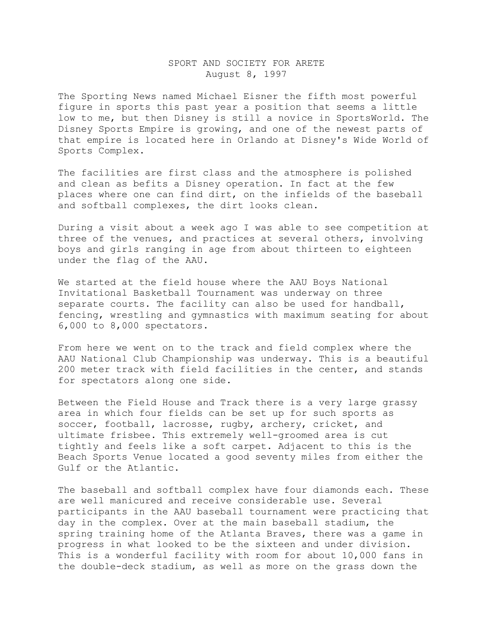## SPORT AND SOCIETY FOR ARETE August 8, 1997

The Sporting News named Michael Eisner the fifth most powerful figure in sports this past year a position that seems a little low to me, but then Disney is still a novice in SportsWorld. The Disney Sports Empire is growing, and one of the newest parts of that empire is located here in Orlando at Disney's Wide World of Sports Complex.

The facilities are first class and the atmosphere is polished and clean as befits a Disney operation. In fact at the few places where one can find dirt, on the infields of the baseball and softball complexes, the dirt looks clean.

During a visit about a week ago I was able to see competition at three of the venues, and practices at several others, involving boys and girls ranging in age from about thirteen to eighteen under the flag of the AAU.

We started at the field house where the AAU Boys National Invitational Basketball Tournament was underway on three separate courts. The facility can also be used for handball, fencing, wrestling and gymnastics with maximum seating for about 6,000 to 8,000 spectators.

From here we went on to the track and field complex where the AAU National Club Championship was underway. This is a beautiful 200 meter track with field facilities in the center, and stands for spectators along one side.

Between the Field House and Track there is a very large grassy area in which four fields can be set up for such sports as soccer, football, lacrosse, rugby, archery, cricket, and ultimate frisbee. This extremely well-groomed area is cut tightly and feels like a soft carpet. Adjacent to this is the Beach Sports Venue located a good seventy miles from either the Gulf or the Atlantic.

The baseball and softball complex have four diamonds each. These are well manicured and receive considerable use. Several participants in the AAU baseball tournament were practicing that day in the complex. Over at the main baseball stadium, the spring training home of the Atlanta Braves, there was a game in progress in what looked to be the sixteen and under division. This is a wonderful facility with room for about 10,000 fans in the double-deck stadium, as well as more on the grass down the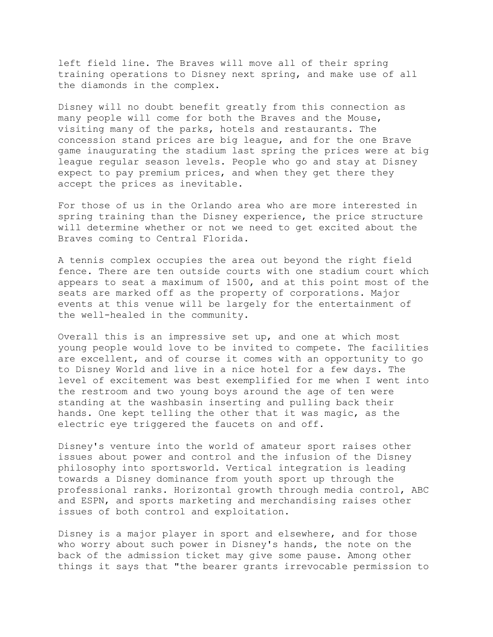left field line. The Braves will move all of their spring training operations to Disney next spring, and make use of all the diamonds in the complex.

Disney will no doubt benefit greatly from this connection as many people will come for both the Braves and the Mouse, visiting many of the parks, hotels and restaurants. The concession stand prices are big league, and for the one Brave game inaugurating the stadium last spring the prices were at big league regular season levels. People who go and stay at Disney expect to pay premium prices, and when they get there they accept the prices as inevitable.

For those of us in the Orlando area who are more interested in spring training than the Disney experience, the price structure will determine whether or not we need to get excited about the Braves coming to Central Florida.

A tennis complex occupies the area out beyond the right field fence. There are ten outside courts with one stadium court which appears to seat a maximum of 1500, and at this point most of the seats are marked off as the property of corporations. Major events at this venue will be largely for the entertainment of the well-healed in the community.

Overall this is an impressive set up, and one at which most young people would love to be invited to compete. The facilities are excellent, and of course it comes with an opportunity to go to Disney World and live in a nice hotel for a few days. The level of excitement was best exemplified for me when I went into the restroom and two young boys around the age of ten were standing at the washbasin inserting and pulling back their hands. One kept telling the other that it was magic, as the electric eye triggered the faucets on and off.

Disney's venture into the world of amateur sport raises other issues about power and control and the infusion of the Disney philosophy into sportsworld. Vertical integration is leading towards a Disney dominance from youth sport up through the professional ranks. Horizontal growth through media control, ABC and ESPN, and sports marketing and merchandising raises other issues of both control and exploitation.

Disney is a major player in sport and elsewhere, and for those who worry about such power in Disney's hands, the note on the back of the admission ticket may give some pause. Among other things it says that "the bearer grants irrevocable permission to